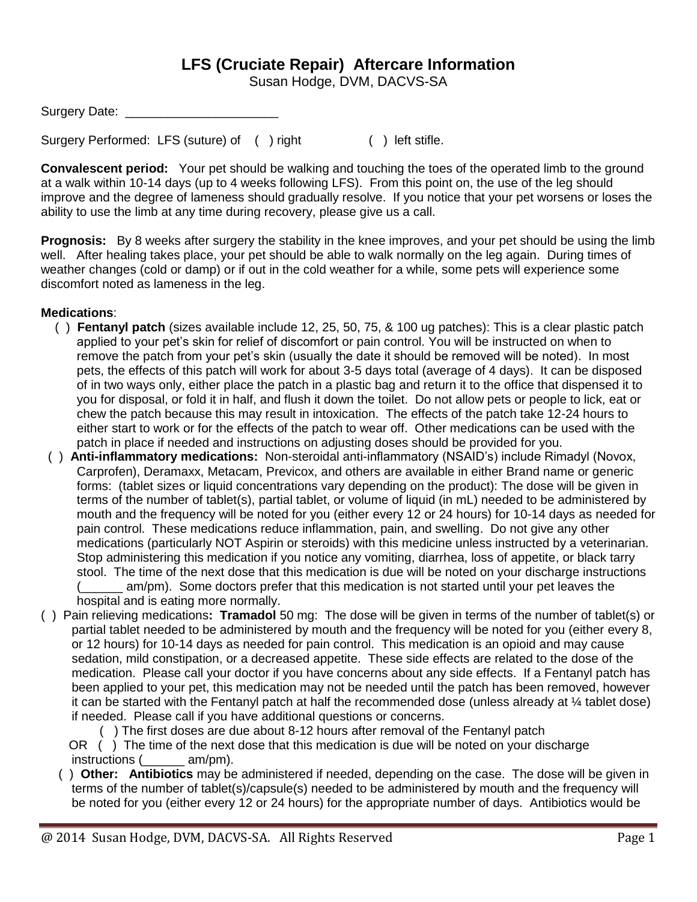## **LFS (Cruciate Repair) Aftercare Information**

Susan Hodge, DVM, DACVS-SA

Surgery Performed: LFS (suture) of ( ) right ( ) left stifle.

**Convalescent period:** Your pet should be walking and touching the toes of the operated limb to the ground at a walk within 10-14 days (up to 4 weeks following LFS). From this point on, the use of the leg should improve and the degree of lameness should gradually resolve. If you notice that your pet worsens or loses the ability to use the limb at any time during recovery, please give us a call.

**Prognosis:** By 8 weeks after surgery the stability in the knee improves, and your pet should be using the limb well. After healing takes place, your pet should be able to walk normally on the leg again. During times of weather changes (cold or damp) or if out in the cold weather for a while, some pets will experience some discomfort noted as lameness in the leg.

## **Medications**:

- ( ) **Fentanyl patch** (sizes available include 12, 25, 50, 75, & 100 ug patches): This is a clear plastic patch applied to your pet's skin for relief of discomfort or pain control. You will be instructed on when to remove the patch from your pet's skin (usually the date it should be removed will be noted). In most pets, the effects of this patch will work for about 3-5 days total (average of 4 days). It can be disposed of in two ways only, either place the patch in a plastic bag and return it to the office that dispensed it to you for disposal, or fold it in half, and flush it down the toilet. Do not allow pets or people to lick, eat or chew the patch because this may result in intoxication. The effects of the patch take 12-24 hours to either start to work or for the effects of the patch to wear off. Other medications can be used with the patch in place if needed and instructions on adjusting doses should be provided for you.
- ( ) **Anti-inflammatory medications:** Non-steroidal anti-inflammatory (NSAID's) include Rimadyl (Novox, Carprofen), Deramaxx, Metacam, Previcox, and others are available in either Brand name or generic forms: (tablet sizes or liquid concentrations vary depending on the product): The dose will be given in terms of the number of tablet(s), partial tablet, or volume of liquid (in mL) needed to be administered by mouth and the frequency will be noted for you (either every 12 or 24 hours) for 10-14 days as needed for pain control. These medications reduce inflammation, pain, and swelling. Do not give any other medications (particularly NOT Aspirin or steroids) with this medicine unless instructed by a veterinarian. Stop administering this medication if you notice any vomiting, diarrhea, loss of appetite, or black tarry stool. The time of the next dose that this medication is due will be noted on your discharge instructions am/pm). Some doctors prefer that this medication is not started until your pet leaves the

hospital and is eating more normally.

- ( ) Pain relieving medications**: Tramadol** 50 mg: The dose will be given in terms of the number of tablet(s) or partial tablet needed to be administered by mouth and the frequency will be noted for you (either every 8, or 12 hours) for 10-14 days as needed for pain control. This medication is an opioid and may cause sedation, mild constipation, or a decreased appetite. These side effects are related to the dose of the medication. Please call your doctor if you have concerns about any side effects. If a Fentanyl patch has been applied to your pet, this medication may not be needed until the patch has been removed, however it can be started with the Fentanyl patch at half the recommended dose (unless already at ¼ tablet dose) if needed. Please call if you have additional questions or concerns.
	- ( ) The first doses are due about 8-12 hours after removal of the Fentanyl patch
	- OR () The time of the next dose that this medication is due will be noted on your discharge instructions ( \_\_\_\_\_ am/pm).
	- ( ) **Other: Antibiotics** may be administered if needed, depending on the case. The dose will be given in terms of the number of tablet(s)/capsule(s) needed to be administered by mouth and the frequency will be noted for you (either every 12 or 24 hours) for the appropriate number of days. Antibiotics would be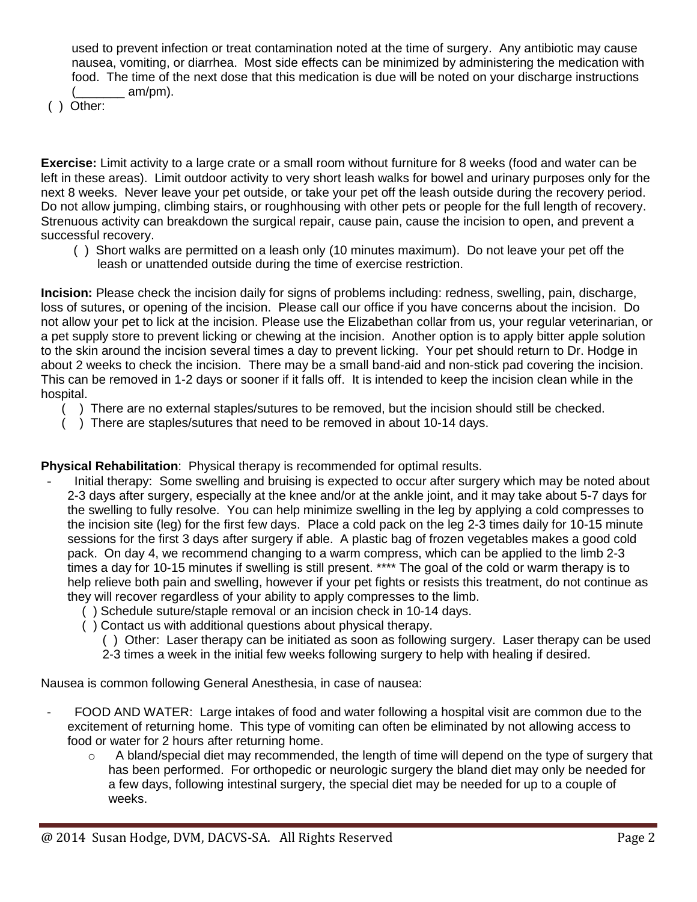used to prevent infection or treat contamination noted at the time of surgery. Any antibiotic may cause nausea, vomiting, or diarrhea. Most side effects can be minimized by administering the medication with food. The time of the next dose that this medication is due will be noted on your discharge instructions am/pm).

( ) Other:

**Exercise:** Limit activity to a large crate or a small room without furniture for 8 weeks (food and water can be left in these areas). Limit outdoor activity to very short leash walks for bowel and urinary purposes only for the next 8 weeks. Never leave your pet outside, or take your pet off the leash outside during the recovery period. Do not allow jumping, climbing stairs, or roughhousing with other pets or people for the full length of recovery. Strenuous activity can breakdown the surgical repair, cause pain, cause the incision to open, and prevent a successful recovery.

 ( ) Short walks are permitted on a leash only (10 minutes maximum). Do not leave your pet off the leash or unattended outside during the time of exercise restriction.

**Incision:** Please check the incision daily for signs of problems including: redness, swelling, pain, discharge, loss of sutures, or opening of the incision. Please call our office if you have concerns about the incision. Do not allow your pet to lick at the incision. Please use the Elizabethan collar from us, your regular veterinarian, or a pet supply store to prevent licking or chewing at the incision. Another option is to apply bitter apple solution to the skin around the incision several times a day to prevent licking. Your pet should return to Dr. Hodge in about 2 weeks to check the incision. There may be a small band-aid and non-stick pad covering the incision. This can be removed in 1-2 days or sooner if it falls off. It is intended to keep the incision clean while in the hospital.

- $($ ) There are no external staples/sutures to be removed, but the incision should still be checked.
- ( ) There are staples/sutures that need to be removed in about 10-14 days.

**Physical Rehabilitation**: Physical therapy is recommended for optimal results.

- Initial therapy: Some swelling and bruising is expected to occur after surgery which may be noted about 2-3 days after surgery, especially at the knee and/or at the ankle joint, and it may take about 5-7 days for the swelling to fully resolve. You can help minimize swelling in the leg by applying a cold compresses to the incision site (leg) for the first few days. Place a cold pack on the leg 2-3 times daily for 10-15 minute sessions for the first 3 days after surgery if able. A plastic bag of frozen vegetables makes a good cold pack. On day 4, we recommend changing to a warm compress, which can be applied to the limb 2-3 times a day for 10-15 minutes if swelling is still present. \*\*\*\* The goal of the cold or warm therapy is to help relieve both pain and swelling, however if your pet fights or resists this treatment, do not continue as they will recover regardless of your ability to apply compresses to the limb.
	- ( ) Schedule suture/staple removal or an incision check in 10-14 days.
	- ( ) Contact us with additional questions about physical therapy.
		- ( ) Other: Laser therapy can be initiated as soon as following surgery. Laser therapy can be used
		- 2-3 times a week in the initial few weeks following surgery to help with healing if desired.

Nausea is common following General Anesthesia, in case of nausea:

- FOOD AND WATER: Large intakes of food and water following a hospital visit are common due to the excitement of returning home. This type of vomiting can often be eliminated by not allowing access to food or water for 2 hours after returning home.
	- $\circ$  A bland/special diet may recommended, the length of time will depend on the type of surgery that has been performed. For orthopedic or neurologic surgery the bland diet may only be needed for a few days, following intestinal surgery, the special diet may be needed for up to a couple of weeks.